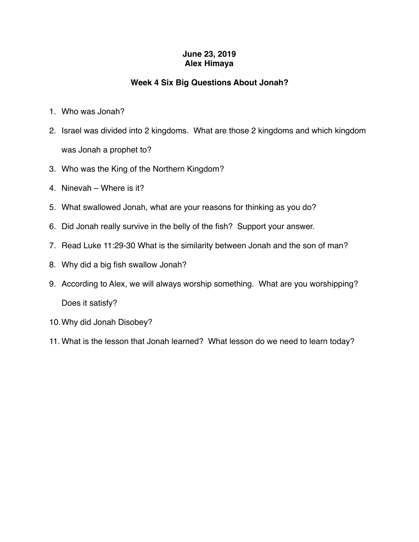## **June 23, 2019 Alex Himaya**

## **Week 4 Six Big Questions About Jonah?**

- 1. Who was Jonah?
- 2. Israel was divided into 2 kingdoms. What are those 2 kingdoms and which kingdom was Jonah a prophet to?
- 3. Who was the King of the Northern Kingdom?
- 4. Ninevah Where is it?
- 5. What swallowed Jonah, what are your reasons for thinking as you do?
- 6. Did Jonah really survive in the belly of the fish? Support your answer.
- 7. Read Luke 11:29-30 What is the similarity between Jonah and the son of man?
- 8. Why did a big fish swallow Jonah?
- 9. According to Alex, we will always worship something. What are you worshipping? Does it satisfy?
- 10.Why did Jonah Disobey?
- 11. What is the lesson that Jonah learned? What lesson do we need to learn today?